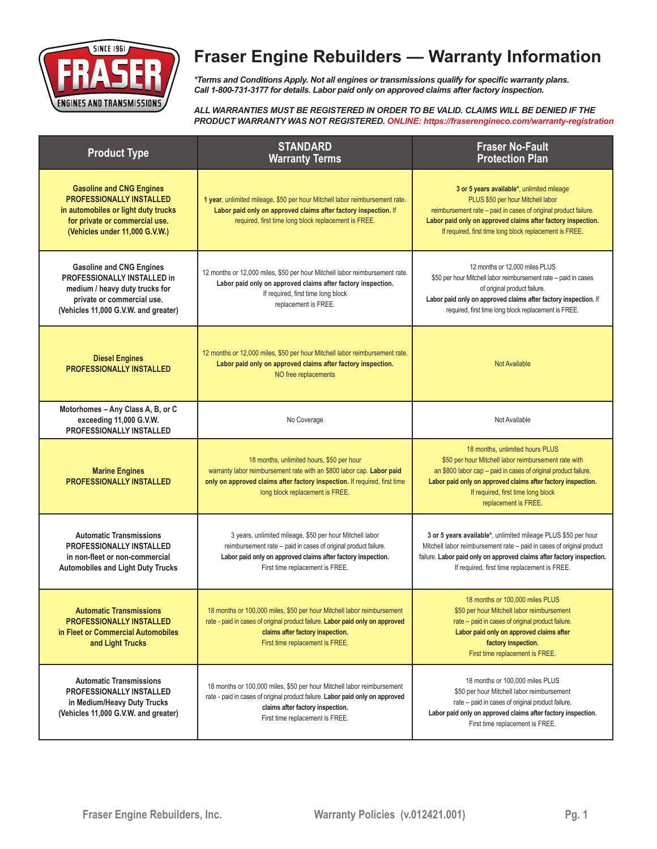

# **Fraser Engine Rebuilders — Warranty Information**

*\*Terms and Conditions Apply. Not all engines or transmissions qualify for specific warranty plans. Call 1-800-731-3177 for details. Labor paid only on approved claims after factory inspection.*

*ALL WARRANTIES MUST BE REGISTERED IN ORDER TO BE VALID. CLAIMS WILL BE DENIED IF THE PRODUCT WARRANTY WAS NOT REGISTERED. ONLINE: https://fraserengineco.com/warranty-registration*

| <b>Product Type</b>                                                                                                                                                           | <b>STANDARD</b><br><b>Warranty Terms</b>                                                                                                                                                                                           | <b>Fraser No-Fault</b><br><b>Protection Plan</b>                                                                                                                                                                                                                                         |
|-------------------------------------------------------------------------------------------------------------------------------------------------------------------------------|------------------------------------------------------------------------------------------------------------------------------------------------------------------------------------------------------------------------------------|------------------------------------------------------------------------------------------------------------------------------------------------------------------------------------------------------------------------------------------------------------------------------------------|
| <b>Gasoline and CNG Engines</b><br><b>PROFESSIONALLY INSTALLED</b><br>in automobiles or light duty trucks<br>for private or commercial use.<br>(Vehicles under 11,000 G.V.W.) | 1 year, unlimited mileage, \$50 per hour Mitchell labor reimbursement rate.<br>Labor paid only on approved claims after factory inspection. If<br>required, first time long block replacement is FREE.                             | 3 or 5 years available*, unlimited mileage<br>PLUS \$50 per hour Mitchell labor<br>reimbursement rate - paid in cases of original product failure.<br>Labor paid only on approved claims after factory inspection.<br>If required, first time long block replacement is FREE.            |
| <b>Gasoline and CNG Engines</b><br>PROFESSIONALLY INSTALLED in<br>medium / heavy duty trucks for<br>private or commercial use.<br>(Vehicles 11,000 G.V.W. and greater)        | 12 months or 12,000 miles, \$50 per hour Mitchell labor reimbursement rate.<br>Labor paid only on approved claims after factory inspection.<br>If required, first time long block<br>replacement is FREE.                          | 12 months or 12,000 miles PLUS<br>\$50 per hour Mitchell labor reimbursement rate - paid in cases<br>of original product failure.<br>Labor paid only on approved claims after factory inspection. If<br>required, first time long block replacement is FREE.                             |
| <b>Diesel Engines</b><br><b>PROFESSIONALLY INSTALLED</b>                                                                                                                      | 12 months or 12,000 miles, \$50 per hour Mitchell labor reimbursement rate.<br>Labor paid only on approved claims after factory inspection.<br>NO free replacements                                                                | <b>Not Available</b>                                                                                                                                                                                                                                                                     |
| Motorhomes - Any Class A, B, or C<br>exceeding 11,000 G.V.W.<br><b>PROFESSIONALLY INSTALLED</b>                                                                               | No Coverage                                                                                                                                                                                                                        | Not Available                                                                                                                                                                                                                                                                            |
| <b>Marine Engines</b><br><b>PROFESSIONALLY INSTALLED</b>                                                                                                                      | 18 months, unlimited hours, \$50 per hour<br>warranty labor reimbursement rate with an \$800 labor cap. Labor paid<br>only on approved claims after factory inspection. If required, first time<br>long block replacement is FREE. | 18 months, unlimited hours PLUS<br>\$50 per hour Mitchell labor reimbursement rate with<br>an \$800 labor cap - paid in cases of original product failure.<br>Labor paid only on approved claims after factory inspection.<br>If required, first time long block<br>replacement is FREE. |
| <b>Automatic Transmissions</b><br><b>PROFESSIONALLY INSTALLED</b><br>in non-fleet or non-commercial<br><b>Automobiles and Light Duty Trucks</b>                               | 3 years, unlimited mileage, \$50 per hour Mitchell labor<br>reimbursement rate - paid in cases of original product failure.<br>Labor paid only on approved claims after factory inspection.<br>First time replacement is FREE.     | 3 or 5 years available*, unlimited mileage PLUS \$50 per hour<br>Mitchell labor reimbursement rate - paid in cases of original product<br>failure. Labor paid only on approved claims after factory inspection.<br>If required, first time replacement is FREE.                          |
| <b>Automatic Transmissions</b><br><b>PROFESSIONALLY INSTALLED</b><br>in Fleet or Commercial Automobiles<br>and Light Trucks                                                   | 18 months or 100,000 miles, \$50 per hour Mitchell labor reimbursement<br>rate - paid in cases of original product failure. Labor paid only on approved<br>claims after factory inspection.<br>First time replacement is FREE.     | 18 months or 100,000 miles PLUS<br>\$50 per hour Mitchell labor reimbursement<br>rate - paid in cases of original product failure.<br>Labor paid only on approved claims after<br>factory inspection.<br>First time replacement is FREE.                                                 |
| <b>Automatic Transmissions</b><br>PROFESSIONALLY INSTALLED<br>in Medium/Heavy Duty Trucks<br>(Vehicles 11,000 G.V.W. and greater)                                             | 18 months or 100,000 miles, \$50 per hour Mitchell labor reimbursement<br>rate - paid in cases of original product failure. Labor paid only on approved<br>claims after factory inspection.<br>First time replacement is FREE.     | 18 months or 100,000 miles PLUS<br>\$50 per hour Mitchell labor reimbursement<br>rate - paid in cases of original product failure.<br>Labor paid only on approved claims after factory inspection.<br>First time replacement is FREE.                                                    |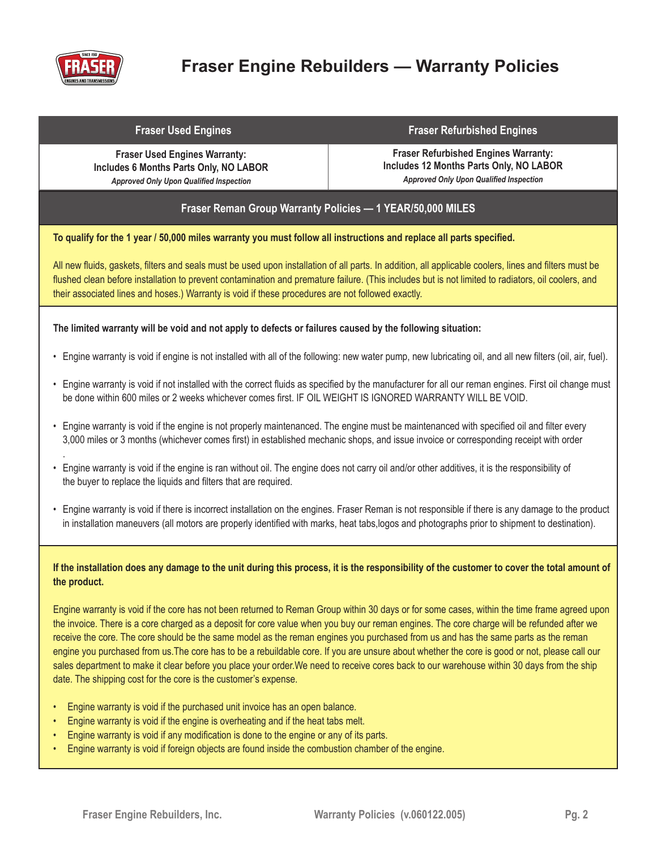

.

# **Fraser Engine Rebuilders — Warranty Policies**

#### **Fraser Used Engines Fraser Refurbished Engines**

**Fraser Used Engines Warranty: Includes 6 Months Parts Only, NO LABOR** *Approved Only Upon Qualified Inspection*

**Fraser Refurbished Engines Warranty: Includes 12 Months Parts Only, NO LABOR** *Approved Only Upon Qualified Inspection*

## **Fraser Reman Group Warranty Policies — 1 YEAR/50,000 MILES**

#### **To qualify for the 1 year / 50,000 miles warranty you must follow all instructions and replace all parts specified.**

All new fluids, gaskets, filters and seals must be used upon installation of all parts. In addition, all applicable coolers, lines and filters must be flushed clean before installation to prevent contamination and premature failure. (This includes but is not limited to radiators, oil coolers, and their associated lines and hoses.) Warranty is void if these procedures are not followed exactly.

#### **The limited warranty will be void and not apply to defects or failures caused by the following situation:**

- Engine warranty is void if engine is not installed with all of the following: new water pump, new lubricating oil, and all new filters (oil, air, fuel).
- Engine warranty is void if not installed with the correct fluids as specified by the manufacturer for all our reman engines. First oil change must be done within 600 miles or 2 weeks whichever comes first. IF OIL WEIGHT IS IGNORED WARRANTY WILL BE VOID.
- Engine warranty is void if the engine is not properly maintenanced. The engine must be maintenanced with specified oil and filter every 3,000 miles or 3 months (whichever comes first) in established mechanic shops, and issue invoice or corresponding receipt with order
- Engine warranty is void if the engine is ran without oil. The engine does not carry oil and/or other additives, it is the responsibility of the buyer to replace the liquids and filters that are required.
- Engine warranty is void if there is incorrect installation on the engines. Fraser Reman is not responsible if there is any damage to the product in installation maneuvers (all motors are properly identified with marks, heat tabs,logos and photographs prior to shipment to destination).

#### **If the installation does any damage to the unit during this process, it is the responsibility of the customer to cover the total amount of the product.**

Engine warranty is void if the core has not been returned to Reman Group within 30 days or for some cases, within the time frame agreed upon the invoice. There is a core charged as a deposit for core value when you buy our reman engines. The core charge will be refunded after we receive the core. The core should be the same model as the reman engines you purchased from us and has the same parts as the reman engine you purchased from us.The core has to be a rebuildable core. If you are unsure about whether the core is good or not, please call our sales department to make it clear before you place your order.We need to receive cores back to our warehouse within 30 days from the ship date. The shipping cost for the core is the customer's expense.

- Engine warranty is void if the purchased unit invoice has an open balance.
- Engine warranty is void if the engine is overheating and if the heat tabs melt.
- Engine warranty is void if any modification is done to the engine or any of its parts.
- Engine warranty is void if foreign objects are found inside the combustion chamber of the engine.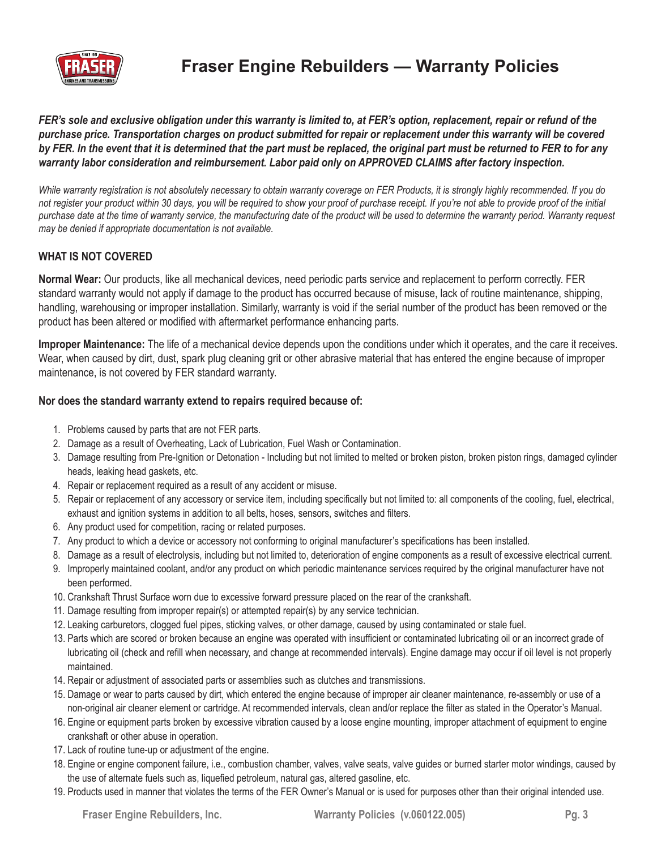

## **Fraser Engine Rebuilders — Warranty Policies**

*FER's sole and exclusive obligation under this warranty is limited to, at FER's option, replacement, repair or refund of the purchase price. Transportation charges on product submitted for repair or replacement under this warranty will be covered by FER. In the event that it is determined that the part must be replaced, the original part must be returned to FER to for any warranty labor consideration and reimbursement. Labor paid only on APPROVED CLAIMS after factory inspection.* 

*While warranty registration is not absolutely necessary to obtain warranty coverage on FER Products, it is strongly highly recommended. If you do not register your product within 30 days, you will be required to show your proof of purchase receipt. If you're not able to provide proof of the initial purchase date at the time of warranty service, the manufacturing date of the product will be used to determine the warranty period. Warranty request may be denied if appropriate documentation is not available.* 

## **WHAT IS NOT COVERED**

**Normal Wear:** Our products, like all mechanical devices, need periodic parts service and replacement to perform correctly. FER standard warranty would not apply if damage to the product has occurred because of misuse, lack of routine maintenance, shipping, handling, warehousing or improper installation. Similarly, warranty is void if the serial number of the product has been removed or the product has been altered or modified with aftermarket performance enhancing parts.

**Improper Maintenance:** The life of a mechanical device depends upon the conditions under which it operates, and the care it receives. Wear, when caused by dirt, dust, spark plug cleaning grit or other abrasive material that has entered the engine because of improper maintenance, is not covered by FER standard warranty.

#### **Nor does the standard warranty extend to repairs required because of:**

- 1. Problems caused by parts that are not FER parts.
- 2. Damage as a result of Overheating, Lack of Lubrication, Fuel Wash or Contamination.
- 3. Damage resulting from Pre-Ignition or Detonation Including but not limited to melted or broken piston, broken piston rings, damaged cylinder heads, leaking head gaskets, etc.
- 4. Repair or replacement required as a result of any accident or misuse.
- 5. Repair or replacement of any accessory or service item, including specifically but not limited to: all components of the cooling, fuel, electrical, exhaust and ignition systems in addition to all belts, hoses, sensors, switches and filters.
- 6. Any product used for competition, racing or related purposes.
- 7. Any product to which a device or accessory not conforming to original manufacturer's specifications has been installed.
- 8. Damage as a result of electrolysis, including but not limited to, deterioration of engine components as a result of excessive electrical current.
- 9. Improperly maintained coolant, and/or any product on which periodic maintenance services required by the original manufacturer have not been performed.
- 10. Crankshaft Thrust Surface worn due to excessive forward pressure placed on the rear of the crankshaft.
- 11. Damage resulting from improper repair(s) or attempted repair(s) by any service technician.
- 12. Leaking carburetors, clogged fuel pipes, sticking valves, or other damage, caused by using contaminated or stale fuel.
- 13. Parts which are scored or broken because an engine was operated with insufficient or contaminated lubricating oil or an incorrect grade of lubricating oil (check and refill when necessary, and change at recommended intervals). Engine damage may occur if oil level is not properly maintained.
- 14. Repair or adjustment of associated parts or assemblies such as clutches and transmissions.
- 15. Damage or wear to parts caused by dirt, which entered the engine because of improper air cleaner maintenance, re-assembly or use of a non-original air cleaner element or cartridge. At recommended intervals, clean and/or replace the filter as stated in the Operator's Manual.
- 16. Engine or equipment parts broken by excessive vibration caused by a loose engine mounting, improper attachment of equipment to engine crankshaft or other abuse in operation.
- 17. Lack of routine tune-up or adjustment of the engine.
- 18. Engine or engine component failure, i.e., combustion chamber, valves, valve seats, valve guides or burned starter motor windings, caused by the use of alternate fuels such as, liquefied petroleum, natural gas, altered gasoline, etc.
- 19. Products used in manner that violates the terms of the FER Owner's Manual or is used for purposes other than their original intended use.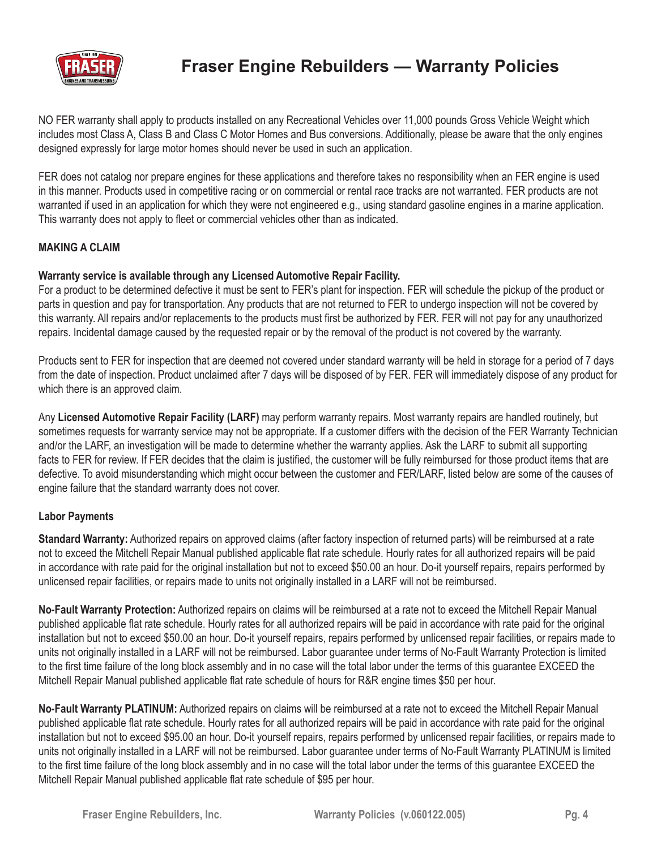

## **Fraser Engine Rebuilders — Warranty Policies**

NO FER warranty shall apply to products installed on any Recreational Vehicles over 11,000 pounds Gross Vehicle Weight which includes most Class A, Class B and Class C Motor Homes and Bus conversions. Additionally, please be aware that the only engines designed expressly for large motor homes should never be used in such an application.

FER does not catalog nor prepare engines for these applications and therefore takes no responsibility when an FER engine is used in this manner. Products used in competitive racing or on commercial or rental race tracks are not warranted. FER products are not warranted if used in an application for which they were not engineered e.g., using standard gasoline engines in a marine application. This warranty does not apply to fleet or commercial vehicles other than as indicated.

## **MAKING A CLAIM**

#### **Warranty service is available through any Licensed Automotive Repair Facility.**

For a product to be determined defective it must be sent to FER's plant for inspection. FER will schedule the pickup of the product or parts in question and pay for transportation. Any products that are not returned to FER to undergo inspection will not be covered by this warranty. All repairs and/or replacements to the products must first be authorized by FER. FER will not pay for any unauthorized repairs. Incidental damage caused by the requested repair or by the removal of the product is not covered by the warranty.

Products sent to FER for inspection that are deemed not covered under standard warranty will be held in storage for a period of 7 days from the date of inspection. Product unclaimed after 7 days will be disposed of by FER. FER will immediately dispose of any product for which there is an approved claim.

Any **Licensed Automotive Repair Facility (LARF)** may perform warranty repairs. Most warranty repairs are handled routinely, but sometimes requests for warranty service may not be appropriate. If a customer differs with the decision of the FER Warranty Technician and/or the LARF, an investigation will be made to determine whether the warranty applies. Ask the LARF to submit all supporting facts to FER for review. If FER decides that the claim is justified, the customer will be fully reimbursed for those product items that are defective. To avoid misunderstanding which might occur between the customer and FER/LARF, listed below are some of the causes of engine failure that the standard warranty does not cover.

## **Labor Payments**

**Standard Warranty:** Authorized repairs on approved claims (after factory inspection of returned parts) will be reimbursed at a rate not to exceed the Mitchell Repair Manual published applicable flat rate schedule. Hourly rates for all authorized repairs will be paid in accordance with rate paid for the original installation but not to exceed \$50.00 an hour. Do-it yourself repairs, repairs performed by unlicensed repair facilities, or repairs made to units not originally installed in a LARF will not be reimbursed.

**No-Fault Warranty Protection:** Authorized repairs on claims will be reimbursed at a rate not to exceed the Mitchell Repair Manual published applicable flat rate schedule. Hourly rates for all authorized repairs will be paid in accordance with rate paid for the original installation but not to exceed \$50.00 an hour. Do-it yourself repairs, repairs performed by unlicensed repair facilities, or repairs made to units not originally installed in a LARF will not be reimbursed. Labor guarantee under terms of No-Fault Warranty Protection is limited to the first time failure of the long block assembly and in no case will the total labor under the terms of this guarantee EXCEED the Mitchell Repair Manual published applicable flat rate schedule of hours for R&R engine times \$50 per hour.

**No-Fault Warranty PLATINUM:** Authorized repairs on claims will be reimbursed at a rate not to exceed the Mitchell Repair Manual published applicable flat rate schedule. Hourly rates for all authorized repairs will be paid in accordance with rate paid for the original installation but not to exceed \$95.00 an hour. Do-it yourself repairs, repairs performed by unlicensed repair facilities, or repairs made to units not originally installed in a LARF will not be reimbursed. Labor guarantee under terms of No-Fault Warranty PLATINUM is limited to the first time failure of the long block assembly and in no case will the total labor under the terms of this guarantee EXCEED the Mitchell Repair Manual published applicable flat rate schedule of \$95 per hour.